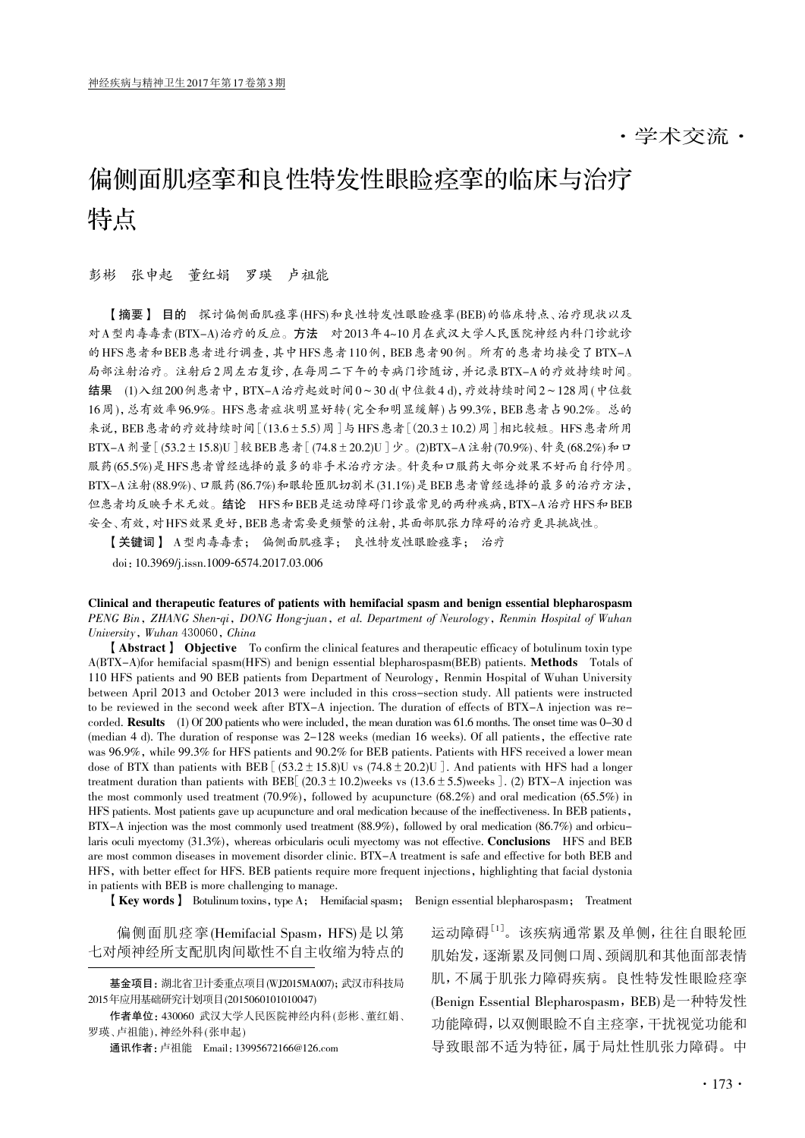·学术交流·

# 偏侧面肌痉挛和良性特发性眼睑痉挛的临床与治疗 特点

#### 彭彬 张申起 董红娟 罗瑛 卢祖能

【摘要】 目的 探讨偏侧面肌痉挛(HFS)和良性特发性眼睑痉挛(BEB)的临床特点、治疗现状以及 对A型肉毒毒素(BTX-A)治疗的反应。方法 对2013年4~10月在武汉大学人民医院神经内科门诊就诊 的HFS患者和BEB患者进行调查,其中HFS患者110例,BEB患者90例。所有的患者均接受了BTX-A 局部注射治疗。注射后2周左右复诊,在每周二下午的专病门诊随访,并记录BTX-A的疗效持续时间。 结果 (1)入组200例患者中,BTX-A治疗起效时间0~30 d(中位数4 d),疗效持续时间2~128周(中位数 16周),总有效率96.9%。HFS患者症状明显好转(完全和明显缓解)占99.3%,BEB患者占90.2%。总的 来说,BEB患者的疗效持续时间[(13.6±5.5)周]与HFS患者[(20.3±10.2)周]相比较短。HFS患者所用 BTX-A剂量[(53.2±15.8)U]较BEB患者[(74.8±20.2)U]少。(2)BTX-A注射(70.9%)、针灸(68.2%)和口 服药(65.5%)是HFS患者曾经选择的最多的非手术治疗方法。针灸和口服药大部分效果不好而自行停用。 BTX-A注射(88.9%)、口服药(86.7%)和眼轮匝肌切割术(31.1%)是BEB患者曾经选择的最多的治疗方法, 但患者均反映手术无效。结论 HFS和BEB是运动障碍门诊最常见的两种疾病,BTX-A治疗HFS和BEB 安全、有效,对HFS效果更好,BEB患者需要更频繁的注射,其面部肌张力障碍的治疗更具挑战性。

【关键词】 A型肉毒毒素; 偏侧面肌痉挛; 良性特发性眼睑痉挛; 治疗

doi:10.3969/j.issn.1009-6574.2017.03.006

Clinical and therapeutic features of patients with hemifacial spasm and benign essential blepharospasm PENG Bin, ZHANG Shen-qi, DONG Hong-juan, et al. Department of Neurology, Renmin Hospital of Wuhan University, Wuhan 430060, China

【Abstract】 Objective To confirm the clinical features and therapeutic efficacy of botulinum toxin type A(BTX-A)for hemifacial spasm(HFS) and benign essential blepharospasm(BEB) patients. Methods Totals of 110 HFS patients and 90 BEB patients from Department of Neurology, Renmin Hospital of Wuhan University between April 2013 and October 2013 were included in this cross-section study. All patients were instructed to be reviewed in the second week after BTX-A injection. The duration of effects of BTX-A injection was recorded. Results (1) Of 200 patients who were included, the mean duration was 61.6 months. The onset time was 0-30 d (median 4 d). The duration of response was 2-128 weeks (median 16 weeks). Of all patients, the effective rate was 96.9%, while 99.3% for HFS patients and 90.2% for BEB patients. Patients with HFS received a lower mean dose of BTX than patients with BEB  $(53.2 \pm 15.8)$ U vs  $(74.8 \pm 20.2)$ U. And patients with HFS had a longer treatment duration than patients with BEB[(20.3  $\pm$  10.2)weeks vs (13.6  $\pm$  5.5)weeks]. (2) BTX-A injection was the most commonly used treatment (70.9%), followed by acupuncture (68.2%) and oral medication (65.5%) in HFS patients. Most patients gave up acupuncture and oral medication because of the ineffectiveness. In BEB patients, BTX-A injection was the most commonly used treatment (88.9%), followed by oral medication (86.7%) and orbicularis oculi myectomy (31.3%), whereas orbicularis oculi myectomy was not effective. **Conclusions** HFS and BEB are most common diseases in movement disorder clinic. BTX-A treatment is safe and effective for both BEB and HFS, with better effect for HFS. BEB patients require more frequent injections, highlighting that facial dystonia in patients with BEB is more challenging to manage.

【Key words】 Botulinum toxins, type A; Hemifacial spasm; Benign essential blepharospasm; Treatment

偏侧面肌痉挛(Hemifacial Spasm, HFS)是以第 七对颅神经所支配肌肉间歇性不自主收缩为特点的

运动障碍<sup>[1]</sup>。该疾病通常累及单侧,往往自眼轮匝 肌始发,逐渐累及同侧口周、颈阔肌和其他面部表情 肌,不属于肌张力障碍疾病。良性特发性眼睑痉挛 (Benign Essential Blepharospasm, BEB)是一种特发性 功能障碍,以双侧眼睑不自主痉挛,干扰视觉功能和 导致眼部不适为特征,属于局灶性肌张力障碍。中

基金项目:湖北省卫计委重点项目(WJ2015MA007);武汉市科技局 2015年应用基础研究计划项目(2015060101010047)

作者单位: 430060 武汉大学人民医院神经内科(彭彬、董红娟、 罗瑛、卢祖能),神经外科(张申起)

通讯作者:卢祖能 Email:13995672166@126.com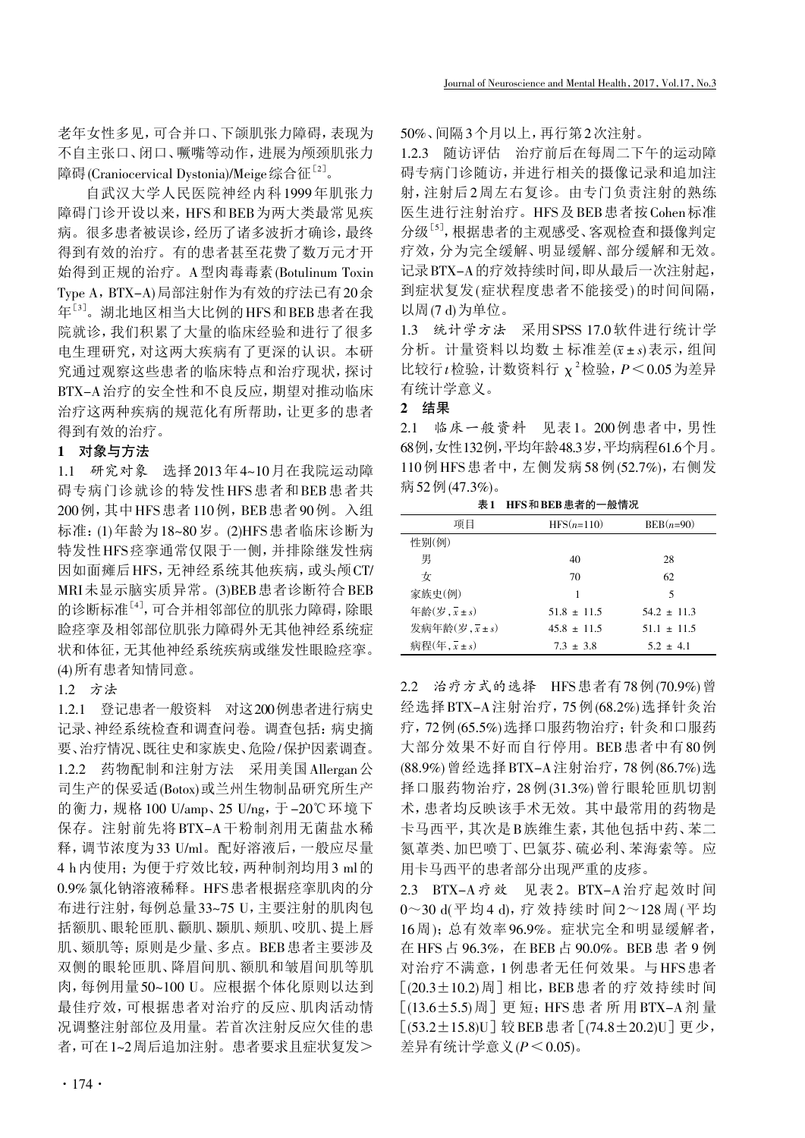老年女性多见,可合并口、下颌肌张力障碍,表现为 不自主张口、闭口、噘嘴等动作,进展为颅颈肌张力 障碍(Craniocervical Dystonia)/Meige综合征<sup>[2]</sup>。

自武汉大学人民医院神经内科1999年肌张力 障碍门诊开设以来, HFS和BEB为两大类最常见疾 病。很多患者被误诊,经历了诸多波折才确诊,最终 得到有效的治疗。有的患者甚至花费了数万元才开 始得到正规的治疗。A型肉毒毒素(Botulinum Toxin Type A, BTX-A)局部注射作为有效的疗法已有20余 年[3] 。湖北地区相当大比例的HFS和BEB患者在我 院就诊,我们积累了大量的临床经验和进行了很多 电生理研究,对这两大疾病有了更深的认识。本研 究通过观察这些患者的临床特点和治疗现状,探讨 BTX-A治疗的安全性和不良反应,期望对推动临床 治疗这两种疾病的规范化有所帮助,让更多的患者 得到有效的治疗。

## 1 对象与方法

1.1 研究对象 选择2013年4~10月在我院运动障 碍专病门诊就诊的特发性HFS患者和BEB患者共 200例,其中HFS患者110例,BEB患者90例。入组 标准:(1)年龄为18~80岁。(2)HFS患者临床诊断为 特发性HFS痉挛通常仅限于一侧,并排除继发性病 因如面瘫后HFS,无神经系统其他疾病,或头颅CT/ MRI未显示脑实质异常。(3)BEB患者诊断符合BEB 的诊断标准[4] ,可合并相邻部位的肌张力障碍,除眼 睑痉挛及相邻部位肌张力障碍外无其他神经系统症 状和体征,无其他神经系统疾病或继发性眼睑痉挛。 (4)所有患者知情同意。

1.2 方法

1.2.1 登记患者一般资料 对这200例患者进行病史 记录、神经系统检查和调查问卷。调查包括:病史摘 要、治疗情况、既往史和家族史、危险/保护因素调查。 1.2.2 药物配制和注射方法 采用美国Allergan公 司生产的保妥适(Botox)或兰州生物制品研究所生产 的衡力,规格100 U/amp、25 U/ng,于-20℃环境下 保存。注射前先将BTX-A干粉制剂用无菌盐水稀 释,调节浓度为33 U/ml。配好溶液后,一般应尽量 4 h内使用;为便于疗效比较,两种制剂均用3 ml的 0.9%氯化钠溶液稀释。HFS患者根据痉挛肌肉的分 布进行注射,每例总量33~75 U,主要注射的肌肉包 括额肌、眼轮匝肌、颧肌、颞肌、颊肌、咬肌、提上唇 肌、颏肌等;原则是少量、多点。BEB患者主要涉及 双侧的眼轮匝肌、降眉间肌、额肌和皱眉间肌等肌 肉,每例用量50~100 U。应根据个体化原则以达到 最佳疗效,可根据患者对治疗的反应、肌肉活动情 况调整注射部位及用量。若首次注射反应欠佳的患 者,可在1~2周后追加注射。患者要求且症状复发>

50%、间隔3个月以上,再行第2次注射。

1.2.3 随访评估 治疗前后在每周二下午的运动障 碍专病门诊随访,并进行相关的摄像记录和追加注 射,注射后2周左右复诊。由专门负责注射的熟练 医生进行注射治疗。HFS及BEB患者按Cohen标准 分级<sup>[5]</sup>,根据患者的主观感受、客观检查和摄像判定 疗效,分为完全缓解、明显缓解、部分缓解和无效。 记录BTX-A的疗效持续时间,即从最后一次注射起, 到症状复发(症状程度患者不能接受)的时间间隔, 以周(7 d)为单位。

1.3 统计学方法 采用SPSS 17.0软件进行统计学 分析。计量资料以均数±标准差(x±s)表示,组间 比较行 $t$ 检验, 计数资料行  $\chi^2$ 检验,  $P \leq 0.05$  为差异 有统计学意义。

## 2 结果

2.1 临床一般资料 见表1。200例患者中,男性 68例,女性132例,平均年龄48.3岁,平均病程61.6个月。 110例HFS患者中,左侧发病58例(52.7%),右侧发 病52例(47.3%)。

| 项目                                        | $HFS(n=110)$    | $BEB(n=90)$     |
|-------------------------------------------|-----------------|-----------------|
| 性别(例)                                     |                 |                 |
| 男                                         | 40              | 28              |
| 女                                         | 70              | 62              |
| 家族史(例)                                    | 1               | 5               |
| 年龄 $(\overline{z}, \overline{x} \pm s)$   | $51.8 \pm 11.5$ | $54.2 \pm 11.3$ |
| 发病年龄 $(\overline{z}, \overline{x} \pm s)$ | $45.8 \pm 11.5$ | $51.1 \pm 11.5$ |
| 病程 $(\overline{4}, \overline{x} \pm s)$   | $7.3 \pm 3.8$   | $5.2 \pm 4.1$   |

表1 HFS和BEB患者的一般情况

2.2 治疗方式的选择 HFS患者有78例(70.9%)曾 经选择BTX-A注射治疗,75例(68.2%)选择针灸治 疗,72例(65.5%)选择口服药物治疗;针灸和口服药 大部分效果不好而自行停用。BEB患者中有80例 (88.9%)曾经选择BTX-A注射治疗,78例(86.7%)选 择口服药物治疗,28例(31.3%)曾行眼轮匝肌切割 术,患者均反映该手术无效。其中最常用的药物是 卡马西平,其次是B族维生素,其他包括中药、苯二 氮䓬类、加巴喷丁、巴氯芬、硫必利、苯海索等。应 用卡马西平的患者部分出现严重的皮疹。

2.3 BTX-A疗效 见表 2。BTX-A治疗起效时间 0~30 d(平均 4 d),疗效持续时间 2~128 周(平均 16周);总有效率96.9%。症状完全和明显缓解者, 在 HFS 占 96.3%,在 BEB 占 90.0%。BEB 患 者 9 例 对治疗不满意,1例患者无任何效果。与HFS患者  $[(20.3 \pm 10.2)$ 周]相比, BEB患者的疗效持续时间 [(13.6±5.5)周]更 短;HFS患者所用BTX-A剂 量 [(53.2±15.8)U]较BEB患者[(74.8±20.2)U]更少, 差异有统计学意义 $(P \leq 0.05)$ 。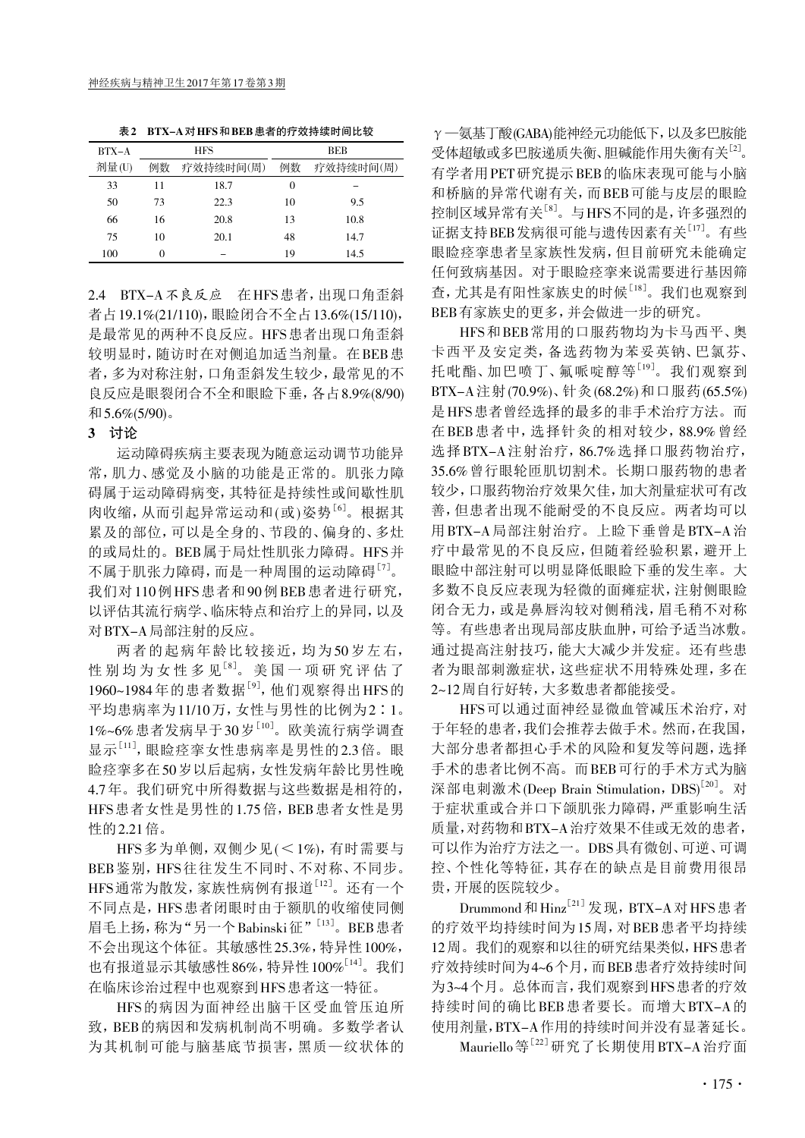表2 BTX-A对HFS和BEB患者的疗效持续时间比较

| $BTX-A$ | <b>HFS</b> |           | BEB      |           |
|---------|------------|-----------|----------|-----------|
| 剂量(U)   | 例数         | 疗效持续时间(周) | 例数       | 疗效持续时间(周) |
| 33      | 11         | 18.7      | $\Omega$ |           |
| 50      | 73         | 22.3      | 10       | 9.5       |
| 66      | 16         | 20.8      | 13       | 10.8      |
| 75      | 10         | 20.1      | 48       | 14.7      |
| 100     |            |           | 19       | 14.5      |

2.4 BTX-A不良反应 在HFS患者,出现口角歪斜 者占19.1%(21/110),眼睑闭合不全占13.6%(15/110), 是最常见的两种不良反应。HFS患者出现口角歪斜 较明显时,随访时在对侧追加适当剂量。在BEB患 者,多为对称注射,口角歪斜发生较少,最常见的不 良反应是眼裂闭合不全和眼睑下垂,各占8.9%(8/90) 和5.6%(5/90)。

### 3 讨论

运动障碍疾病主要表现为随意运动调节功能异 常,肌力、感觉及小脑的功能是正常的。肌张力障 碍属于运动障碍病变,其特征是持续性或间歇性肌 肉收缩,从而引起异常运动和(或)姿势[6] 。根据其 累及的部位,可以是全身的、节段的、偏身的、多灶 的或局灶的。BEB属于局灶性肌张力障碍。HFS并 不属于肌张力障碍, 而是一种周围的运动障碍<sup>[7]</sup>。 我们对110例HFS患者和90例BEB患者进行研究, 以评估其流行病学、临床特点和治疗上的异同,以及 对BTX-A局部注射的反应。

两者的起病年龄比较接近,均为 50 岁左右, 性别均为女性多见<sup>[8]</sup>。美国一项研究评估了 1960~1984年的患者数据<sup>[9]</sup>, 他们观察得出HFS的 平均患病率为11/10万,女性与男性的比例为2∶1。 1%~6%患者发病早于30岁<sup>[10]</sup>。欧美流行病学调查 显示[11], 眼睑痉挛女性患病率是男性的2.3倍。眼 睑痉挛多在50岁以后起病,女性发病年龄比男性晚 4.7年。我们研究中所得数据与这些数据是相符的, HFS患者女性是男性的1.75倍, BEB患者女性是男 性的2.21倍。

HFS多为单侧,双侧少见(<1%),有时需要与 BEB 鉴别, HFS 往往发生不同时、不对称、不同步。 HFS通常为散发,家族性病例有报道[12]。 还有一个 不同点是,HFS患者闭眼时由于额肌的收缩使同侧 眉毛上扬, 称为"另一个Babinski征"<sup>[13]</sup>。BEB 患者 不会出现这个体征。其敏感性25.3%,特异性100%, 也有报道显示其敏感性86%,特异性 $100\%^{\lceil 14 \rceil}$ 。我们 在临床诊治过程中也观察到HFS患者这一特征。

HFS的病因为面神经出脑干区受血管压迫所 致,BEB的病因和发病机制尚不明确。多数学者认 为其机制可能与脑基底节损害,黑质—纹状体的

γ—氨基丁酸(GABA)能神经元功能低下,以及多巴胺能 受体超敏或多巴胺递质失衡、胆碱能作用失衡有关<sup>[2]</sup>。 有学者用PET研究提示BEB的临床表现可能与小脑 和桥脑的异常代谢有关,而BEB可能与皮层的眼睑 控制区域异常有关<sup>[8]</sup>。与HFS不同的是,许多强烈的 证据支持BEB发病很可能与遗传因素有关<sup>[17]</sup>。有些 眼睑痉挛患者呈家族性发病,但目前研究未能确定 任何致病基因。对于眼睑痉挛来说需要进行基因筛 查,尤其是有阳性家族史的时候<sup>[18]</sup>。我们也观察到 BEB有家族史的更多,并会做进一步的研究。

HFS和BEB常用的口服药物均为卡马西平、奥 卡西平及安定类,备选药物为苯妥英钠、巴氯芬、 托吡酯、加巴喷丁、氟哌啶醇等[19] 。我们观察到 BTX-A注射(70.9%)、针灸(68.2%)和口服药(65.5%) 是HFS患者曾经选择的最多的非手术治疗方法。而 在BEB患者中,选择针灸的相对较少,88.9%曾经 选择BTX-A注射治疗,86.7%选择口服药物治疗, 35.6%曾行眼轮匝肌切割术。长期口服药物的患者 较少,口服药物治疗效果欠佳,加大剂量症状可有改 善,但患者出现不能耐受的不良反应。两者均可以 用BTX-A局部注射治疗。上睑下垂曾是BTX-A治 疗中最常见的不良反应,但随着经验积累,避开上 眼睑中部注射可以明显降低眼睑下垂的发生率。大 多数不良反应表现为轻微的面瘫症状,注射侧眼睑 闭合无力,或是鼻唇沟较对侧稍浅,眉毛稍不对称 等。有些患者出现局部皮肤血肿,可给予适当冰敷。 通过提高注射技巧,能大大减少并发症。还有些患 者为眼部刺激症状,这些症状不用特殊处理,多在 2~12周自行好转,大多数患者都能接受。

HFS可以通过面神经显微血管减压术治疗,对 于年轻的患者,我们会推荐去做手术。然而,在我国, 大部分患者都担心手术的风险和复发等问题,选择 手术的患者比例不高。而BEB可行的手术方式为脑 深部电刺激术(Deep Brain Stimulation, DBS)<sup>[20]</sup>。对 于症状重或合并口下颌肌张力障碍,严重影响生活 质量,对药物和BTX-A治疗效果不佳或无效的患者, 可以作为治疗方法之一。DBS具有微创、可逆、可调 控、个性化等特征,其存在的缺点是目前费用很昂 贵,开展的医院较少。

Drummond和Hinz<sup>[21]</sup>发现, BTX-A对HFS患者 的疗效平均持续时间为15周,对BEB患者平均持续 12周。我们的观察和以往的研究结果类似,HFS患者 疗效持续时间为4~6个月,而BEB患者疗效持续时间 为3~4个月。总体而言,我们观察到HFS患者的疗效 持续时间的确比BEB患者要长。而增大BTX-A的 使用剂量,BTX-A作用的持续时间并没有显著延长。

Mauriello等[22]研究了长期使用BTX-A治疗面